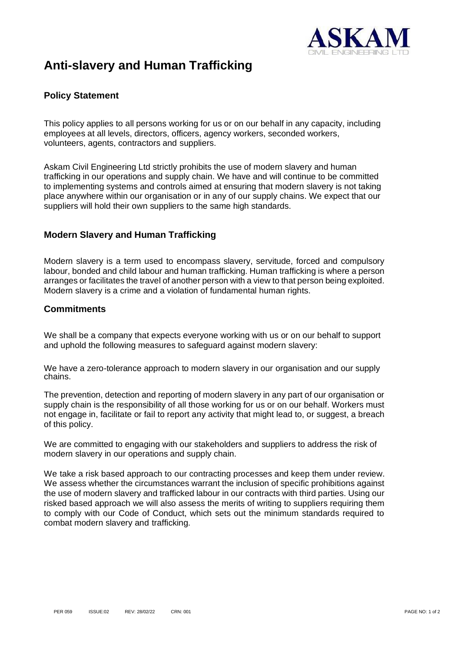

# **Anti-slavery and Human Trafficking**

### **Policy Statement**

This policy applies to all persons working for us or on our behalf in any capacity, including employees at all levels, directors, officers, agency workers, seconded workers, volunteers, agents, contractors and suppliers.

Askam Civil Engineering Ltd strictly prohibits the use of modern slavery and human trafficking in our operations and supply chain. We have and will continue to be committed to implementing systems and controls aimed at ensuring that modern slavery is not taking place anywhere within our organisation or in any of our supply chains. We expect that our suppliers will hold their own suppliers to the same high standards.

#### **Modern Slavery and Human Trafficking**

Modern slavery is a term used to encompass slavery, servitude, forced and compulsory labour, bonded and child labour and human trafficking. Human trafficking is where a person arranges or facilitates the travel of another person with a view to that person being exploited. Modern slavery is a crime and a violation of fundamental human rights.

#### **Commitments**

We shall be a company that expects everyone working with us or on our behalf to support and uphold the following measures to safeguard against modern slavery:

We have a zero-tolerance approach to modern slavery in our organisation and our supply chains.

The prevention, detection and reporting of modern slavery in any part of our organisation or supply chain is the responsibility of all those working for us or on our behalf. Workers must not engage in, facilitate or fail to report any activity that might lead to, or suggest, a breach of this policy.

We are committed to engaging with our stakeholders and suppliers to address the risk of modern slavery in our operations and supply chain.

We take a risk based approach to our contracting processes and keep them under review. We assess whether the circumstances warrant the inclusion of specific prohibitions against the use of modern slavery and trafficked labour in our contracts with third parties. Using our risked based approach we will also assess the merits of writing to suppliers requiring them to comply with our Code of Conduct, which sets out the minimum standards required to combat modern slavery and trafficking.